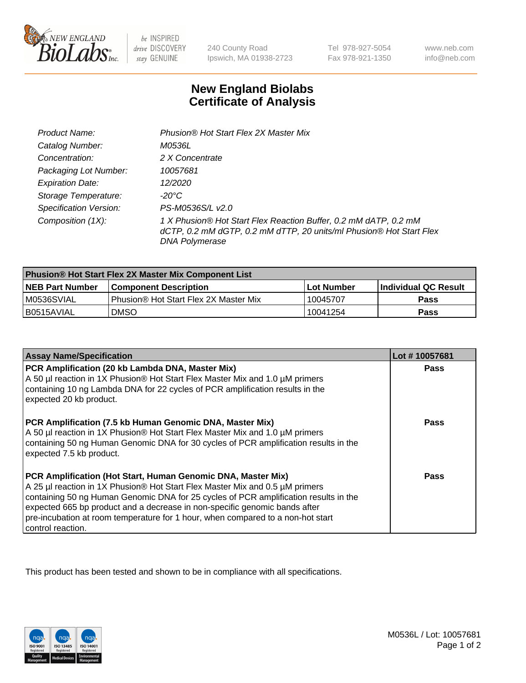

be INSPIRED drive DISCOVERY stay GENUINE

240 County Road Ipswich, MA 01938-2723

Tel 978-927-5054 Fax 978-921-1350

www.neb.com info@neb.com

## **New England Biolabs Certificate of Analysis**

| Product Name:                 | Phusion® Hot Start Flex 2X Master Mix                                                                                                                     |
|-------------------------------|-----------------------------------------------------------------------------------------------------------------------------------------------------------|
| Catalog Number:               | M0536L                                                                                                                                                    |
| Concentration:                | 2 X Concentrate                                                                                                                                           |
| Packaging Lot Number:         | 10057681                                                                                                                                                  |
| <b>Expiration Date:</b>       | 12/2020                                                                                                                                                   |
| Storage Temperature:          | -20°C                                                                                                                                                     |
| <b>Specification Version:</b> | PS-M0536S/L v2.0                                                                                                                                          |
| Composition (1X):             | 1 X Phusion® Hot Start Flex Reaction Buffer, 0.2 mM dATP, 0.2 mM<br>dCTP, 0.2 mM dGTP, 0.2 mM dTTP, 20 units/ml Phusion® Hot Start Flex<br>DNA Polymerase |

| Phusion® Hot Start Flex 2X Master Mix Component List |                                       |              |                      |  |
|------------------------------------------------------|---------------------------------------|--------------|----------------------|--|
| <b>NEB Part Number</b>                               | <b>Component Description</b>          | l Lot Number | Individual QC Result |  |
| M0536SVIAL                                           | Phusion® Hot Start Flex 2X Master Mix | 10045707     | Pass                 |  |
| I B0515AVIAL                                         | <b>DMSO</b>                           | 10041254     | <b>Pass</b>          |  |

| <b>Assay Name/Specification</b>                                                                                                                                                                                                                                                                                                                                                                                            | Lot #10057681 |
|----------------------------------------------------------------------------------------------------------------------------------------------------------------------------------------------------------------------------------------------------------------------------------------------------------------------------------------------------------------------------------------------------------------------------|---------------|
| PCR Amplification (20 kb Lambda DNA, Master Mix)<br>A 50 µl reaction in 1X Phusion® Hot Start Flex Master Mix and 1.0 µM primers<br>containing 10 ng Lambda DNA for 22 cycles of PCR amplification results in the<br>expected 20 kb product.                                                                                                                                                                               | <b>Pass</b>   |
| PCR Amplification (7.5 kb Human Genomic DNA, Master Mix)<br>A 50 µl reaction in 1X Phusion® Hot Start Flex Master Mix and 1.0 µM primers<br>containing 50 ng Human Genomic DNA for 30 cycles of PCR amplification results in the<br>expected 7.5 kb product.                                                                                                                                                               | Pass          |
| PCR Amplification (Hot Start, Human Genomic DNA, Master Mix)<br>A 25 µl reaction in 1X Phusion® Hot Start Flex Master Mix and 0.5 µM primers<br>containing 50 ng Human Genomic DNA for 25 cycles of PCR amplification results in the<br>expected 665 bp product and a decrease in non-specific genomic bands after<br>pre-incubation at room temperature for 1 hour, when compared to a non-hot start<br>control reaction. | Pass          |

This product has been tested and shown to be in compliance with all specifications.